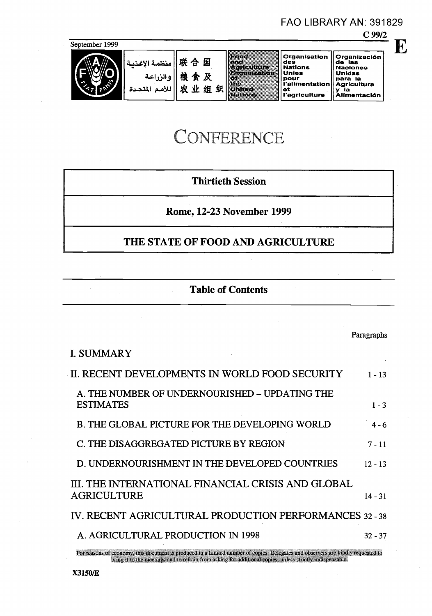#### C 99/2 September 1999 Food<br>Asticulum<br>Oranization Organisation Organiza<br>des de las<br>Nations Naciones<br>Unies Unidas Organización<br>de las<br>Naciones<br>Unidas<br>Agricultura<br>Agricultura<br>y la<br>Alimentación 联合国 منظمة الأغذد والزراعة 粮食及 **pour**<br>
pour<br>
l'alimentation Agricultur 农业组织 دة للأمم المذ United - || et<br>l'agriculture

FAO LIBRARY AN: 391829

E

# **CONFERENCE**

# Thirtieth Session

Rome, 12-23 November 1999

# THE STATE OF FOOD AND AGRICULTURE

# Table of Contents

|                                                                                                                                  | Paragraphs |
|----------------------------------------------------------------------------------------------------------------------------------|------------|
| <b>I. SUMMARY</b>                                                                                                                |            |
| II. RECENT DEVELOPMENTS IN WORLD FOOD SECURITY                                                                                   | $1 - 13$   |
| A. THE NUMBER OF UNDERNOURISHED – UPDATING THE<br><b>ESTIMATES</b>                                                               | $1 - 3$    |
| <b>B. THE GLOBAL PICTURE FOR THE DEVELOPING WORLD</b>                                                                            | $4 - 6$    |
| C. THE DISAGGREGATED PICTURE BY REGION                                                                                           | $7 - 11$   |
| D. UNDERNOURISHMENT IN THE DEVELOPED COUNTRIES                                                                                   | $12 - 13$  |
| III. THE INTERNATIONAL FINANCIAL CRISIS AND GLOBAL<br>AGRICULTURE                                                                | $14 - 31$  |
| IV. RECENT AGRICULTURAL PRODUCTION PERFORMANCES 32 - 38                                                                          |            |
| A. AGRICULTURAL PRODUCTION IN 1998                                                                                               | $32 - 37$  |
| For reasons of economy, this document is produced in a limited number of copies. Delegates and observers are kindly requested to |            |

bring it to the meetings and to refrain from asking for additional copies. unless stnctly indispensable.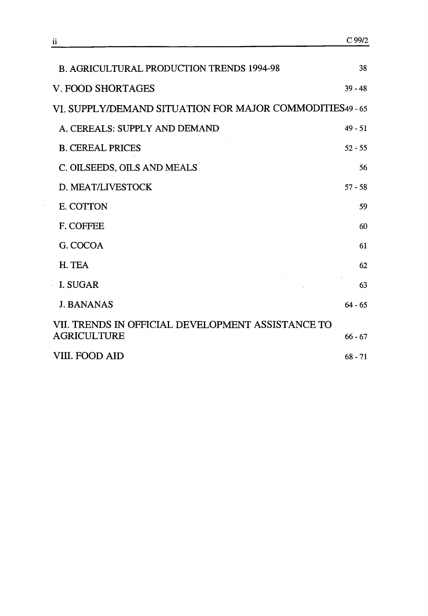| <b>B. AGRICULTURAL PRODUCTION TRENDS 1994-98</b>                        | 38        |
|-------------------------------------------------------------------------|-----------|
| V. FOOD SHORTAGES                                                       | $39 - 48$ |
| VI. SUPPLY/DEMAND SITUATION FOR MAJOR COMMODITIES49 - 65                |           |
| A. CEREALS: SUPPLY AND DEMAND                                           | $49 - 51$ |
| <b>B. CEREAL PRICES</b>                                                 | $52 - 55$ |
| C. OILSEEDS, OILS AND MEALS                                             | 56        |
| D. MEAT/LIVESTOCK                                                       | $57 - 58$ |
| E. COTTON                                                               | 59        |
| F. COFFEE                                                               | 60        |
| G. COCOA                                                                | 61        |
| H. TEA                                                                  | 62        |
| I. SUGAR                                                                | 63        |
| <b>J. BANANAS</b>                                                       | $64 - 65$ |
| VII. TRENDS IN OFFICIAL DEVELOPMENT ASSISTANCE TO<br><b>AGRICULTURE</b> | $66 - 67$ |
| VIII. FOOD AID                                                          | $68 - 71$ |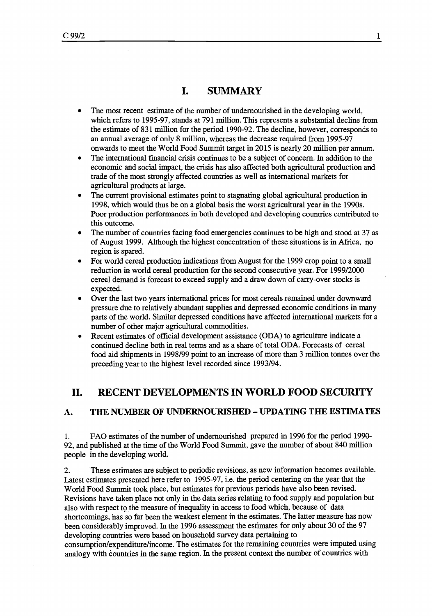## I. SUMMARY

- The most recent estimate of the number of undernourished in the developing world,  $\bullet$ which refers to 1995-97, stands at 791 million. This represents a substantial decline from the estimate of 831 million for the period 1990-92. The decline, however, corresponds to an annual average of only 8 million, whereas the decrease required from 1995-97 onwards to meet the World Food Summit target in 2015 is nearly 20 million per annum.
- The international financial crisis continues to be a subject of concern. In addition to the  $\bullet$ economic and social impact, the crisis has also affected both agricultural production and trade of the Most strongly affected countries as well as international markets for agricultural products at large.
- The current provisional estimates point to stagnating global agricultural production in 1998, which would thus be on a global basis the worst agricultural year in the 1990s. Poor production performances in both developed and developing countries contributed to this outcome.
- The number of countries facing food emergencies continues to be high and stood at 37 as of August 1999. Although the highest concentration of these situations is in Africa, no region is spared.
- For world cereal production indications from August for the 1999 crop point to a small reduction in world cereal production for the second consecutive year. For 1999/2000 cereal demand is forecast to exceed supply and a draw down of carry-over stocks is expected.
- Over the last two years international prices for most cereals remained under downward pressure due to relatively abundant supplies and depressed economic conditions in many parts of the world. Similar depressed conditions have affected international markets for a number of other major agricultural commodities.
- Recent estimates of official development assistance (ODA) to agriculture indicate a continued decline both in real terms and as a share of total ODA. Forecasts of cereal food aid shipments in 1998/99 point to an increase of more than 3 million tonnes over the preceding year to the highest level recorded since 1993/94.

## II. RECENT DEVELOPMENTS IN WORLD FOOD SECURITY

#### A. THE NUMBER OF UNDERNOURISHED - UPDATING THE ESTIMATES

FAO estimates of the number of undernourished prepared in 1996 for the period 1990-  $\mathbf{1}$ . 92, and published at the time of the World Food Summit, gave the number of about 840 million people in the developing world.

 $2.$ These estimates are subject to periodic revisions, as new information becomes available. Latest estimates presented here refer to 1995-97, i.e. the period centering on the year that the World Food Summit took place, but estimates for previous periods have also been revised. Revisions have taken place not only in the data series relating to food supply and population but also with respect to the measure of inequality in access to food which, because of data shortcomings, has so far been the weakest element in the estimates. The latter measure has now been considerably improved. In the 1996 assessment the estimates for only about 30 of the 97 developing countries were based on household survey data pertaining to consumption/expenditure/income. The estimates for the remaining countries were imputed using analogy with countries in the same region. In the present context the number of countries with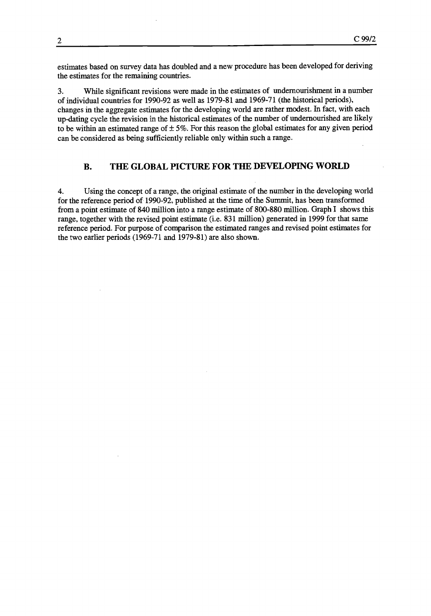estimates based on survey data has doubled and a new procedure has been developed for deriving the estimates for the remaining countries.

While significant revisions were made in the estimates of undernourishment in a number 3. of individual countries for 1990-92 as well as 1979-81 and 1969-71 (the historical periods), changes in the aggregate estimates for the developing world are rather modest. In fact, with each up-dating cycle the revision in the historical estimates of the number of undemourished are likely to be within an estimated range of  $\pm$  5%. For this reason the global estimates for any given period can be considered as being sufficiently reliable only within such a range.

## B. THE GLOBAL PICTURE FOR THE DEVELOPING WORLD

 $4.$ Using the concept of a range, the original estimate of the number in the developing world for the reference period of 1990-92, published at the time of the Summit, has been transformed from a point estimate of 840 million into a range estimate of 800-880 million. Graph I shows this range, together with the revised point estimate (i.e. 831 million) generated in 1999 for that same reference period. For purpose of comparison the estimated ranges and revised point estimates for the two earlier periods (1969-71 and 1979-81) are also shown.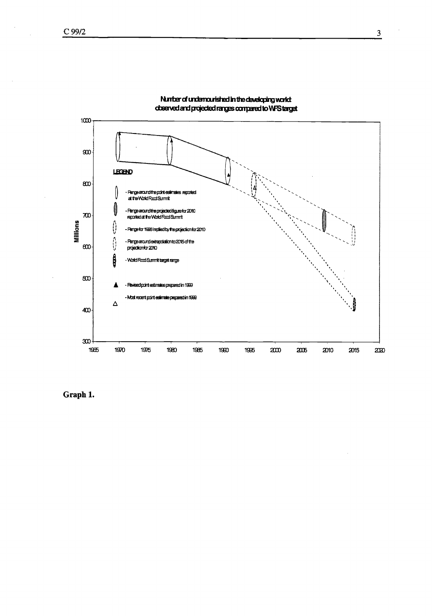

Number of undemounished in the developing world: doserved and projected ranges compared to WFS target

Graph 1.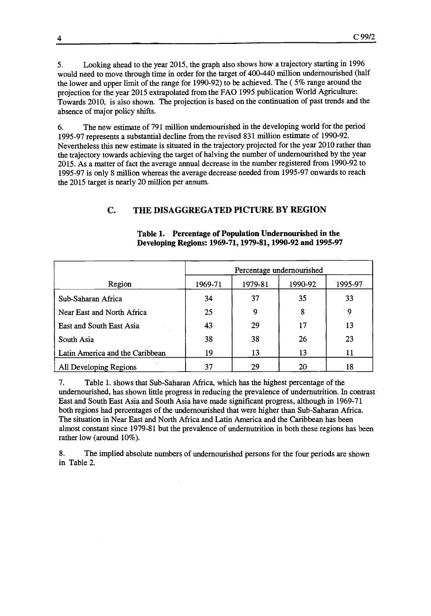Looking ahead to the year 2015, the graph also shows how a trajectory starting in 1996 5. would need to move through time in order for the target of 400-440 million undernourished (half the lower and upper limit of the range for 1990-92) to be achieved. The ( 5% range around the projection for the year 2015 extrapolated from the FAO 1995 publication World Agriculture: Towards 2010, is also shown. The projection is based on the continuation of past trends and the absence of major policy shifts.

The new estimate of 791 million undernourished in the developing world for the period 6. 1995-97 represents a substantial decline from the revised 831 million estimate of 1990-92. Nevertheless this new estimate is situated in the trajectory projected for the year 2010 rather than the trajectory towards achieving the target of halving the number of undemourished by the year 2015. As a matter of fact the average annual decrease in the number registered from 1990-92 to 1995-97 is only 8 million whereas the average decrease needed from 1995-97 onwards to reach the 2015 target is nearly 20 million per annum.

#### C. THE DISAGGREGATED PICTURE BY REGION

|                                 |         | Percentage undernourished |         |         |  |  |  |  |  |
|---------------------------------|---------|---------------------------|---------|---------|--|--|--|--|--|
| Region                          | 1969-71 | 1979-81                   | 1990-92 | 1995-97 |  |  |  |  |  |
| Sub-Saharan Africa              | 34      | 37                        | 35      | 33      |  |  |  |  |  |
| Near East and North Africa      | 25      | 9                         | 8       | ∴9.     |  |  |  |  |  |
| East and South East Asia        | 43      | 29                        | 17      | 13      |  |  |  |  |  |
| South Asia                      | 38      | 38                        | 26      | 23      |  |  |  |  |  |
| Latin America and the Caribbean | 19      | 13                        | 13      | 11      |  |  |  |  |  |
| All Developing Regions          | 37      | 29                        | 20      | 18      |  |  |  |  |  |

Table 1. Percentage of Population Undernourished in the Developing Regions: 1969-71, 1979-81, 1990-92 and 1995-97

 $7.$ Table 1. shows that Sub-Saharan Africa, which has the highest percentage of the undernourished, has shown little progress in reducing the prevalence of undernutrition. In contrast East and South East Asia and South Asia have made significant progress, although in 1969-71 both regions had percentages of the undernourished that were higher than Sub-Saharan Africa. The situation in Near East and North Africa and Latin America and the Caribbean has been almost constant since 1979-81 but the prevalence of undernutrition in both these regions has been rather low (around 10%).

8. The implied absolute numbers of undernourished persons for the four periods are shown in Table 2.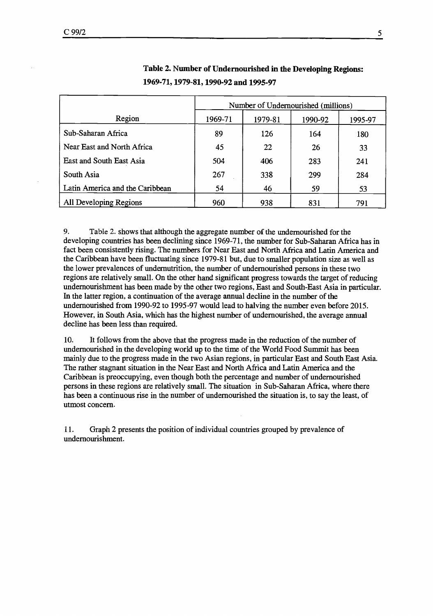|                                 |         | Number of Undernourished (millions) |         |         |  |  |  |  |
|---------------------------------|---------|-------------------------------------|---------|---------|--|--|--|--|
| Region                          | 1969-71 | 1979-81                             | 1990-92 | 1995-97 |  |  |  |  |
| Sub-Saharan Africa              | 89      | 126                                 | 164     | 180     |  |  |  |  |
| Near East and North Africa      | 45      | 22                                  | 26      | 33      |  |  |  |  |
| East and South East Asia        | 504     | 406                                 | 283     | 241     |  |  |  |  |
| South Asia                      | 267     | 338                                 | 299     | 284     |  |  |  |  |
| Latin America and the Caribbean | 54      | 46                                  | 59      | 53      |  |  |  |  |
| All Developing Regions          | 960     | 938                                 | 831     | 791     |  |  |  |  |

## Table 2. Number of Undernourished in the Developing Regions: 1969-71, 1979-81, 1990-92 and 1995-97

9. Table 2. shows that although the aggregate number of the undernourished for the developing countries has been declining since 1969-71, the number for Sub-Saharan Africa has in fact been consistently rising. The numbers for Near East and North Africa and Latin America and the Caribbean have been fluctuating since 1979-81 but, due to smaller population size as well as the lower prevalences of undernutrition, the number of undernourished persons in these two regions are relatively small. On the other hand significant progress towards the target of reducing undernourishment has been made by the other two regions, East and South-East Asia in particular. In the latter region, a continuation of the average annual decline in the number of the undernourished from 1990-92 to 1995-97 would lead to halving the number even before 2015. However, in South Asia, which has the highest number of undernourished, the average annual decline has been less than required.

10. It follows from the above that the progress made in the reduction of the number of undernourished in the developing world up to the time of the World Food Summit has been mainly due to the progress made in the two Asian regions, in particular East and South East Asia. The rather stagnant situation in the Near East and North Africa and Latin America and the Caribbean is preoccupying, even though both the percentage and number of undernourished persons in these regions are relatively small. The situation in Sub-Saharan Africa, where there has been a continuous rise in the number of undemourished the situation is, to say the least, of utmost concern.

 $11.$ Graph 2 presents the position of individual countries grouped by prevalence of undernourishment.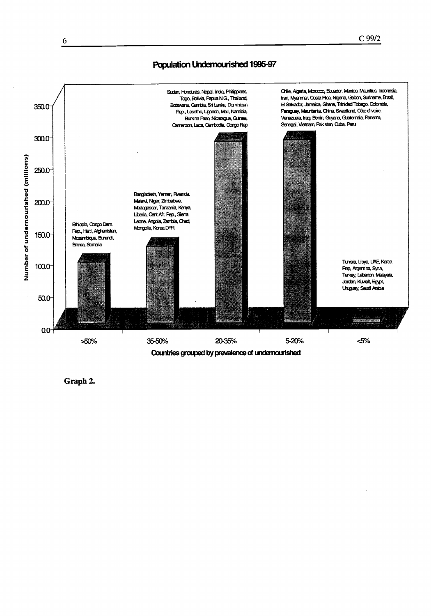## Population Undernourished 1995-97



Graph 2.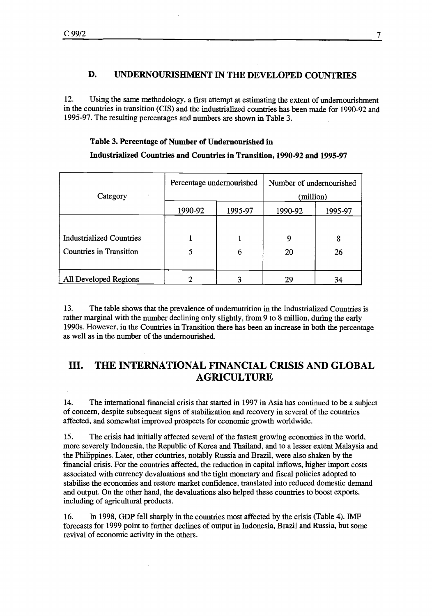## D. UNDERNOURISHMENT IN THE DEVELOPED COUNTRIES

12. Using the same methodology, a first attempt at estimating the extent of undernourishment in the countries in transition (CIS) and the industrialized countries has been made for 1990-92 and 1995-97. The resulting percentages and numbers are shown in Table 3.

#### Table 3. Percentage of Number of Undernourished in

#### Industrialized Countries and Countries in Transition, 1990-92 and 1995-97

| Category                        | Percentage undernourished |   | Number of undernourished<br>(million) |         |  |
|---------------------------------|---------------------------|---|---------------------------------------|---------|--|
|                                 | 1990-92<br>1995-97        |   | 1990-92                               | 1995-97 |  |
|                                 |                           |   |                                       |         |  |
| <b>Industrialized Countries</b> |                           |   | 9                                     | 8       |  |
| <b>Countries in Transition</b>  | 5                         | 6 | 20                                    | 26      |  |
|                                 |                           |   |                                       |         |  |
| All Developed Regions           |                           | 3 | 29                                    | 34      |  |

13. The table shows that the prevalence of undernutrition in the Industrialized Countries is rather marginal with the number declining only slightly, from 9 to 8 million, during the early 1990s. However, in the Countries in Transition there has been an increase in both the percentage as well as in the number of the undernourished.

# III. THE INTERNATIONAL FINANCIAL CRISIS AND GLOBAL AGRICULTURE

14. The international financial crisis that started in 1997 in Asia has continued to be a subject of concern, despite subsequent signs of stabilization and recovery in several of the countries affected, and somewhat improved prospects for economic growth worldwide.

15. The crisis had initially affected several of the fastest growing economies in the world, more severely Indonesia, the Republic of Korea and Thailand, and to a lesser extent Malaysia and the Philippines. Later, other countries, notably Russia and Brazil, were also shaken by the fmancial crisis. For the countries affected, the reduction in capital inflows, higher import costs associated with currency devaluations and the tight monetary and fiscal policies adopted to stabilise the economies and restore market confidence, translated into reduced domestic demand and output. On the other hand, the devaluations also helped these countries to boost exports, including of agricultural products.

16. In 1998, GDP fell sharply in the countries most affected by the crisis (Table 4). IMF forecasts for 1999 point to further declines of output in Indonesia, Brazil and Russia, but some revival of economic activity in the others.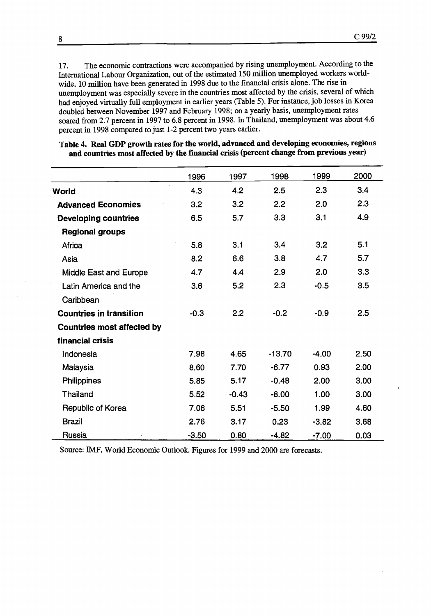17. The economic contractions were accompanied by rising unemployment. According to the International Labour Organization, out of the estimated 150 million unemployed workers worldwide, 10 million have been generated in 1998 due to the financial crisis alone. The rise in unemployment was especially severe in the countries most affected by the crisis, several of which had enjoyed virtually full employment in earlier years (Table 5). For instance, job losses in Korea doubled between November 1997 and February 1998; on a yearly basis, unemployment rates soared from 2.7 percent in 1997 to 6.8 percent in 1998. In Thailand, unemployment was about 4.6 percent in 1998 compared to just 1-2 percent two years earlier.

|  | Table 4. Real GDP growth rates for the world, advanced and developing economies, regions<br>and countries most affected by the financial crisis (percent change from previous year) |  |
|--|-------------------------------------------------------------------------------------------------------------------------------------------------------------------------------------|--|
|  |                                                                                                                                                                                     |  |

|                                   | 1996    | 1997    | 1998     | 1999    | 2000 |
|-----------------------------------|---------|---------|----------|---------|------|
| World                             | 4.3     | 4.2     | 2.5      | 2.3     | 3.4  |
| <b>Advanced Economies</b>         | 3.2     | 3.2     | 2.2      | 2.0     | 2.3  |
| <b>Developing countries</b>       | 6.5     | 5.7     | 3.3      | 3.1     | 4.9  |
| <b>Regional groups</b>            |         |         |          |         |      |
| Africa                            | 5.8     | 3.1     | 3.4      | 3.2     | 5.1  |
| Asia                              | 8.2     | 6.6     | 3.8      | 4.7     | 5.7  |
| Middle East and Europe            | 4.7     | 4.4     | 2.9      | 2.0     | 3.3  |
| Latin America and the             | 3.6     | 5.2     | 2.3      | $-0.5$  | 3.5  |
| Caribbean                         |         |         |          |         |      |
| <b>Countries in transition</b>    | $-0.3$  | 2.2     | $-0.2$   | $-0.9$  | 2.5  |
| <b>Countries most affected by</b> |         |         |          |         |      |
| financial crisis                  |         |         |          |         |      |
| Indonesia                         | 7.98    | 4.65    | $-13.70$ | $-4.00$ | 2.50 |
| Malaysia                          | 8.60    | 7.70    | $-6.77$  | 0.93    | 2.00 |
| Philippines                       | 5.85    | 5.17    | $-0.48$  | 2.00    | 3.00 |
| <b>Thailand</b>                   | 5.52    | $-0.43$ | $-8.00$  | 1.00    | 3.00 |
| Republic of Korea                 | 7.06    | 5.51    | $-5.50$  | 1.99    | 4.60 |
| <b>Brazil</b>                     | 2.76    | 3.17    | 0.23     | $-3.82$ | 3.68 |
| Russia                            | $-3.50$ | 0.80    | $-4.82$  | $-7.00$ | 0.03 |

Source: IMP, World Economic Outlook. Figures for 1999 and 2000 are forecasts.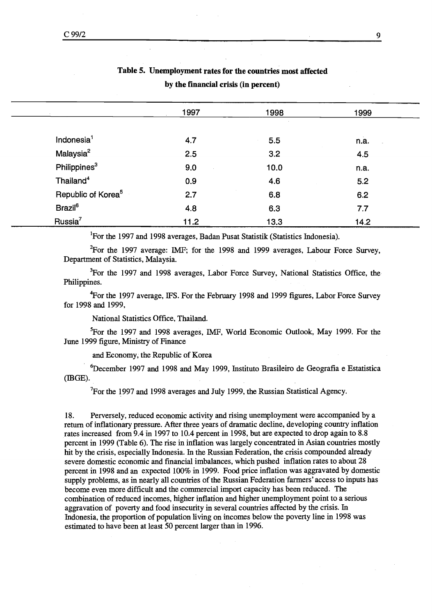|                                | by the financial crisis (in percent) |      |      |  |  |  |  |
|--------------------------------|--------------------------------------|------|------|--|--|--|--|
|                                | 1997                                 | 1998 | 1999 |  |  |  |  |
| Indonesia <sup>1</sup>         | 4.7                                  | 5.5  | n.a. |  |  |  |  |
| Malaysia <sup>2</sup>          | 2.5                                  | 3.2  | 4.5  |  |  |  |  |
| Philippines <sup>3</sup>       | 9.0                                  | 10.0 | n.a. |  |  |  |  |
| Thailand <sup>4</sup>          | 0.9                                  | 4.6  | 5.2  |  |  |  |  |
| Republic of Korea <sup>5</sup> | 2.7                                  | 6.8  | 6.2  |  |  |  |  |
| <b>Brazil</b> <sup>6</sup>     | 4.8                                  | 6.3  | 7.7  |  |  |  |  |
| Russia <sup>7</sup>            | 11.2                                 | 13.3 | 14.2 |  |  |  |  |

# Table 5. Unemployment rates for the countries most affected

<sup>1</sup>For the 1997 and 1998 averages, Badan Pusat Statistik (Statistics Indonesia).

<sup>2</sup>For the 1997 average: IMF; for the 1998 and 1999 averages, Labour Force Survey, Department of Statistics, Malaysia.

<sup>3</sup>For the 1997 and 1998 averages, Labor Force Survey, National Statistics Office, the Philippines.

 $t$  For the 1997 average, IFS. For the February 1998 and 1999 figures, Labor Force Survey for 1998 and 1999,

National Statistics Office, Thailand.

<sup>5</sup>For the 1997 and 1998 averages, IMF, World Economic Outlook, May 1999. For the June 1999 figure, Ministry of Finance

and Economy, the Republic of Korea

6December 1997 and 1998 and May 1999, Instituto Brasileiro de Geografia e Estatistica  $(BGE)$ .

<sup>7</sup>For the 1997 and 1998 averages and July 1999, the Russian Statistical Agency.

18. Perversely, reduced economic activity and rising unemployment were accompanied by a return of inflationary pressure. After three years of dramatic decline, developing country inflation rates increased from 9.4 in 1997 to 10.4 percent in 1998, but are expected to drop again to 8.8 percent in 1999 (Table 6). The rise in inflation was largely concentrated in Asian countries mostly hit by the crisis, especially Indonesia. In the Russian Federation, the crisis compounded already severe domestic economic and fmancial imbalances, which pushed inflation rates to about 28 percent in 1998 and an expected 100% in 1999. Food price inflation was aggravated by domestic supply problems, as in nearly all countries of the Russian Federation farmers' access to inputs has become even more difficult and the commercial import capacity has been reduced. The combination of reduced incomes, higher inflation and higher unemployment point to a serious aggravation of poverty and food insecurity in several countries affected by the crisis. In Indonesia, the proportion of population living on incomes below the poverty line in 1998 was estimated to have been at least 50 percent larger than in 1996.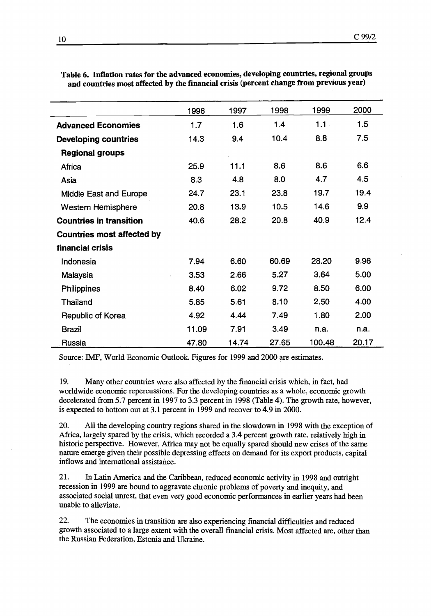|                                   | 1996  | 1997  | 1998  | 1999    | 2000  |
|-----------------------------------|-------|-------|-------|---------|-------|
| <b>Advanced Economies</b>         | 1.7   | 1.6   | 1.4   | $1.1 -$ | 1.5   |
| <b>Developing countries</b>       | 14.3  | 9.4   | 10.4  | 8.8     | 7.5   |
| <b>Regional groups</b>            |       |       |       |         |       |
| Africa                            | 25.9  | 11.1  | 8.6   | 8.6     | 6.6   |
| Asia                              | 8.3   | 4.8   | 8.0   | 4.7     | 4.5   |
| Middle East and Europe            | 24.7  | 23.1  | 23.8  | 19.7    | 19.4  |
| Western Hemisphere                | 20.8  | 13.9  | 10.5  | 14.6    | 9.9   |
| <b>Countries in transition</b>    | 40.6  | 28.2  | 20.8  | 40.9    | 12.4  |
| <b>Countries most affected by</b> |       |       |       |         |       |
| financial crisis                  |       |       |       |         |       |
| Indonesia                         | 7.94  | 6.60  | 60.69 | 28.20   | 9.96  |
| Malaysia                          | 3.53  | 2.66  | 5.27  | 3.64    | 5.00  |
| <b>Philippines</b>                | 8.40  | 6.02  | 9.72  | 8.50    | 6.00  |
| <b>Thailand</b>                   | 5.85  | 5.61  | 8.10  | 2.50    | 4.00  |
| Republic of Korea                 | 4.92  | 4.44  | 7.49  | 1.80    | 2.00  |
| <b>Brazil</b>                     | 11.09 | 7.91  | 3.49  | n.a.    | n.a.  |
| Russia                            | 47.80 | 14.74 | 27.65 | 100.48  | 20.17 |

Table 6. Inflation rates for the advanced economies, developing countries, regional groups and countries most affected by the financial crisis (percent change from previous year)

Source: IMF, World Economic Outlook. Figures for 1999 and 2000 are estimates.

19. Many other countries were also affected by the financial crisis which, in fact, had worldwide economic repercussions. For the developing countries as a whole, economic growth decelerated from 5.7 percent in 1997 to 3.3 percent in 1998 (Table 4). The growth rate, however, is expected to bottom out at 3.1 percent in 1999 and recover to 4.9 in 2000.

20. All the developing country regions shared in the slowdown in 1998 with the exception of Africa, largely spared by the crisis, which recorded a 3.4 percent growth rate, relatively high in historic perspective. However, Africa may not be equally spared should new crises of the same nature emerge given their possible depressing effects on demand for its export products, capital inflows and international assistance.

21. In Latin America and the Caribbean, reduced economic activity in 1998 and outright recession in 1999 are bound to aggravate chronic problems of poverty and inequity, and associated social unrest, that even very good economic performances in earlier years had been unable to alleviate.

 $22.$ The economies in transition are also experiencing financial difficulties and reduced growth associated to a large extent with the overall financial crisis. Most affected are, other than the Russian Federation, Estonia and Ukraine.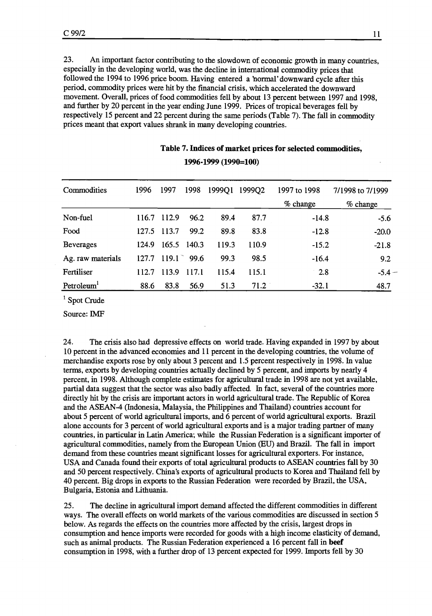23. An important factor contributing to the slowdown of economic growth in many countries, especially in the developing world, was the decline in international commodity prices that followed the 1994 to 1996 price boom. Having entered a 'normal' downward cycle after this period, commodity prices were hit by the financial crisis, which accelerated the downward movement. Overall, prices of food commodities fell by about 13 percent between 1997 and 1998, and further by 20 percent in the year ending June 1999. Prices of tropical beverages fell by respectively 15 percent and 22 percent during the same periods (Table 7). The fall in commodity prices meant that export values shrank in many developing countries.

| Commodities            | 1996  | 1997  | 1998        | 1999Q1 | 1999Q2 | 1997 to 1998 | 7/1998 to 7/1999 |
|------------------------|-------|-------|-------------|--------|--------|--------------|------------------|
|                        |       |       |             |        |        | $%$ change   | $%$ change       |
| Non-fuel               | 116.7 | 112.9 | 96.2        | 89.4   | 87.7   | $-14.8$      | $-5.6$           |
| Food                   | 127.5 | 113.7 | 99.2        | 89.8   | 83.8   | $-12.8$      | $-20.0$          |
| <b>Beverages</b>       | 124.9 |       | 165.5 140.3 | 119.3  | 110.9  | $-15.2$      | $-21.8$          |
| Ag. raw materials      | 127.7 | 119.1 | 99.6        | 99.3   | 98.5   | $-16.4$      | 9.2              |
| Fertiliser             | 112.7 | 113.9 | 117.1       | 115.4  | 115.1  | 2.8          | $-5.4-$          |
| Petroleum <sup>1</sup> | 88.6  | 83.8  | 56.9        | 51.3   | 71.2   | $-32.1$      | 48.7             |

# Table 7. Indices of market prices for selected commodities,

1996-1999 (1990=100)

<sup>1</sup> Spot Crude

Source: IMF

24. The crisis also had depressive effects on world trade. Having expanded in 1997 by about 10 percent in the advanced economies and 11 percent in the developing countries, the volume of merchandise exports rose by only about 3 percent and 1.5 percent respectively in 1998. In value terms, exports by developing countries actually declined by 5 percent, and imports by nearly 4 percent, in 1998. Although complete estimates for agicultural trade in 1998 are not yet available, partial data suggest that the sector was also badly affected. In fact, several of the countries more directly hit by the crisis are important actors in world agricultural trade. The Republic of Korea and the ASEAN-4 (Indonesia, Malaysia, the Philippines and Thailand) countries account for about 5 percent of world agricultural imports, and 6 percent of world agricultural exports. Brazil alone accounts for 3 percent of world agricultural exports and is a major trading partner of many countries, in particular in Latin America; while the Russian Federation is a significant importer of agricultural commodities, namely from the European Union (EU) and Brazil. The fall in import demand from these countries meant significant losses for agricultural exporters. For instance, USA and Canada found their exports of total agricultural products to ASEAN countries fall by 30 and 50 percent respectively. China's exports of agricultural products to Korea and Thailand fell by 40 percent. Big drops in exports to the Russian Federation were recorded by Brazil, the USA, Bulgaria, Estonia and Lithuania.

The decline in agricultural import demand affected the different commodities in different 25. ways. The overall effects on world markets of the various commodities are discussed in section 5 below. As regards the effects on the countries more affected by the crisis, largest drops in consumption and hence imports were recorded for goods with a high income elasticity of demand, such as animal products. The Russian Federation experienced a 16 percent fall in beef consumption in 1998, with a further drop of 13 percent expected for 1999. Imports fell by 30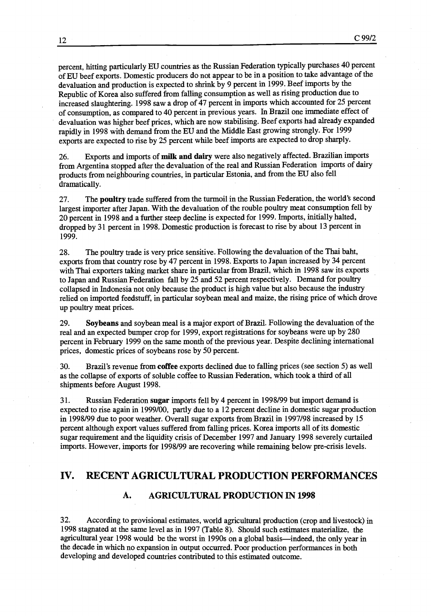percent, hitting particularly EU countries as the Russian Federation typically purchases 40 percent of EU beef exports. Domestic producers do not appear to be in a position to take advantage of the devaluation and production is expected to shrink by 9 percent in 1999. Beef imports by the Republic of Korea also suffered from falling consumption as well as rising production due to increased slaughtering. 1998 saw a drop of 47 percent in imports which accounted for 25 percent of consumption, as compared to 40 percent in previous years. In Brazil one immediate effect of devaluation was higher beef prices, which are now stabilising. Beef exports had already expanded rapidly in 1998 with demand from the EU and the Middle East growing strongly. For 1999 exports are expected to rise by 25 percent while beef imports are expected to drop sharply.

Exports and imports of milk and dairy were also negatively affected. Brazilian imports 26. from Argentina stopped after the devaluation of the real and Russian Federation imports of dairy products from neighbouring countries, in particular Estonia, and from the EU also fell dramatically.

27. The poultry trade suffered from the turmoil in the Russian Federation, the world's second largest importer after Japan. With the devaluation of the rouble poultry meat consumption fell by 20 percent in 1998 and a further steep decline is expected for 1999 Imports, initially halted, dropped by 31 percent in 1998. Domestic production is forecast to rise by about 13 percent in 1999.

28. The poultry trade is very price sensitive. Following the devaluation of the Thai baht, exports from that country rose by 47 percent in 1998. Exports to Japan increased by 34 percent with Thai exporters taking market share in particular from Brazil, which in 1998 saw its exports to Japan and Russian Federation fall by 25 and 52 percent respectively. Demand for poultry collapsed in Indonesia not only because the product is high value but also because the industry relied on imported feedstuff, in particular soybean meal and maize, the rising price of which drove up poultry meat prices.

29. Soybeans and soybean meal is a major export of Brazil. Following the devaluation of the real and an expected bumper crop for 1999, export registrations for soybeans were up by 280 percent in February 1999 on the same month of the previous year. Despite declining international prices, domestic prices of soybeans rose by 50 percent.

30. Brazil's revenue from coffee exports declined due to falling prices (see section 5) as well as the collapse of exports of soluble coffee to Russian Federation, which took a third of all shipments before August 1998.

31. Russian Federation sugar imports fell by 4 percent in 1998/99 but import demand is expected to rise again in 1999/00, partly due to a 12 percent decline in domestic sugar production in 1998/99 due to poor weather. Overall sugar exports from Brazil in 1997/98 increased by 15 percent although export values suffered from falling prices. Korea imports all of its domestic sugar requirement and the liquidity crisis of December 1997 and January 1998 severely curtailed imports. However, imports for 1998/99 are recovering while remaining below pre-crisis levels.

## IV. RECENT AGRICULTURAL PRODUCTION PERFORMANCES

#### A. AGRICULTURAL PRODUCTION IN 1998

32. According to provisional estimates, world agricultural production (crop and livestock) in 1998 stagnated at the same level as in 1997 (Table 8). Should such estimates materialize, the agricultural year 1998 would be the worst in 1990s on a global basis—indeed, the only year in the decade in which no expansion in output occurred. Poor production performances in both developing and developed countries contributed to this estimated outcome.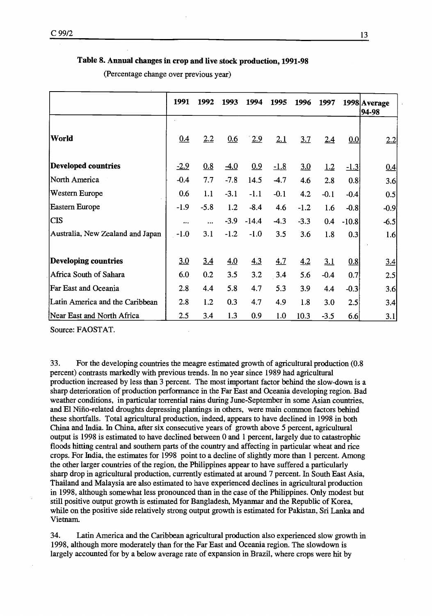#### Table 8. Annual changes in crop and live stock production, 1991-98

(Percentage change over previous year)

|                                  | 1991   | 1992   | 1993   | 1994    | 1995   | 1996   | 1997   |              | 1998 Average<br>94-98 |
|----------------------------------|--------|--------|--------|---------|--------|--------|--------|--------------|-----------------------|
| World                            | 0.4    | 2.2    | 0.6    | 2.9     | 2.1    | 3.7    | 2.4    | 0.0          | 2.2                   |
| <b>Developed countries</b>       | $-2.9$ | 0.8    | $-4.0$ | 0.9     | $-1.8$ | 3.0    | 1.2    | <u>-1.3 </u> | 0.4                   |
| North America                    | $-0.4$ | 7.7    | $-7.8$ | 14.5    | $-4.7$ | 4.6    | 2.8    | 0.8          | 3.6                   |
| <b>Western Europe</b>            | 0.6    | 1.1    | $-3.1$ | $-1.1$  | $-0.1$ | 4.2    | $-0.1$ | $-0.4$       | 0.5                   |
| <b>Eastern Europe</b>            | $-1.9$ | $-5.8$ | 1.2    | $-8.4$  | 4.6    | $-1.2$ | 1.6    | $-0.8$       | $-0.9$                |
| <b>CIS</b>                       |        |        | $-3.9$ | $-14.4$ | $-4.3$ | $-3.3$ | 0.4    | $-10.8$      | $-6.5$                |
| Australia, New Zealand and Japan | $-1.0$ | 3.1    | $-1.2$ | $-1.0$  | 3.5    | 3.6    | 1.8    | 0.3          | 1.6                   |
| Developing countries             | 3.0    | 3.4    | 4.0    | 4.3     | 4.7    | 4.2    | 3.1    | 0.8          | $\underline{3.4}$     |
| Africa South of Sahara           | 6.0    | 0.2    | 3.5    | 3.2     | 3.4    | 5.6    | $-0.4$ | 0.7          | 2.5                   |
| Far East and Oceania             | 2.8    | 4.4    | 5.8    | 4.7     | 5.3    | 3.9    | 4.4    | $-0.3$       | 3.6                   |
| Latin America and the Caribbean  | 2.8    | 1.2    | 0.3    | 4.7     | 4.9    | 1.8    | 3.0    | 2.5          | 3.4                   |
| Near East and North Africa       | 2.5    | 3.4    | 1.3    | 0.9     | 1.0    | 10.3   | $-3.5$ | 6.6          | 3.1                   |

Source: FAOSTAT.

33. For the developing countries the meagre estimated growth of agricultural production (0.8 percent) contrasts markedly with previous trends. In no year since 1989 had agricultural production increased by less than 3 percent. The most important factor behind the slow-down is a sharp deterioration of production performance in the Far East and Oceania developing region. Bad weather conditions, in particular torrential rains during June-September in some Asian countries, and El Nirio-related droughts depressing plantings in others, were main common factors behind these shortfalls. Total agricultural production, indeed, appears to have declined in 1998 in both China and India. In China, after six consecutive years of growth above 5 percent, agricultural output is 1998 is estimated to have declined between 0 and 1 percent, largely due to catastrophic floods hitting central and southern parts of the country and affecting in particular wheat and rice crops. For India, the estimates for 1998 point to a decline of slightly more than 1 percent. Among the other larger countries of the region, the Philippines appear to have suffered a particularly sharp drop in agricultural production, currently estimated at around 7 percent. In South East Asia, Thailand and Malaysia are also estimated to have experienced declines in agricultural production in 1998, although somewhat less pronounced than in the case of the Philippines. Only modest but still positive output growth is estimated for Bangladesh, Myanmar and the Republic of Korea, while on the positive side relatively strong output growth is estimated for Pakistan, Sri Lanka and Vietnam.

34. Latin America and the Caribbean agricultural production also experienced slow growth in 1998, although more moderately than for the Far East and Oceania region. The slowdown is largely accounted for by a below average rate of expansion in Brazil, where crops were hit by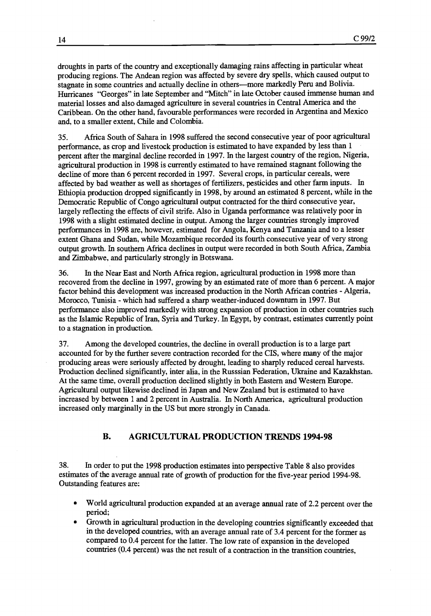droughts in parts of the country and exceptionally damaging rains affecting in particular wheat producing regions. The Andean region was affected by severe dry spells, which caused output to stagnate in some countries and actually decline in others—more markedly Peru and Bolivia. Hurricanes "Georges" in late September and "Mitch" in late October caused immense human and material losses and also damaged agriculture in several countries in Central America and the Caribbean. On the other hand, favourable performances were recorded in Argentina and Mexico and, to a smaller extent. Chile and Colombia.

Africa South of Sahara in 1998 suffered the second consecutive year of poor agricultural 35. performance, as crop and livestock production is estimated to have expanded by less than 1 percent after the marginal decline recorded in 1997. In the largest country of the region, Nigeria, agricultural production in 1998 is currently estimated to have remained stagnant following the decline of more than 6 percent recorded in 1997. Several crops, in particular cereals, were affected by bad weather as well as shortages of fertilizers, pesticides and other farm inputs. In Ethiopia production dropped significantly in 1998, by around an estimated 8 percent, while in the Democratic Republic of Congo agricultural output contracted for the third consecutive year, largely reflecting the effects of civil strife. Also in Uganda performance was relatively poor in 1998 with a slight estimated decline in output. Among the larger countries strongly improved performances in 1998 are, however, estimated for Angola, Kenya and Tanzania and to a lesser extent Ghana and Sudan, while Mozambique recorded its fourth consecutive year of very strong output growth. In southern Africa declines in output were recorded in both South Africa, Zambia and Zimbabwe, and particularly strongly in Botswana.

In the Near East and North Africa region, agricultural production in 1998 more than 36. recovered from the decline in 1997, growing by an estimated rate of more than 6 percent. A major factor behind this development was increased production in the North African contries - Algeria, Morocco, Tunisia - which had suffered a sharp weather-induced downturn in 1997. But performance also improved markedly with strong expansion of production in other countries such as the Islamic Republic of Iran, Syria and Turkey. In Egypt, by contrast, estimates currently point to a stagnation in production.

37. Among the developed countries, the decline in overall production is to a large part accounted for by the further severe contraction recorded for the CIS, where many of the major producing areas were seriously affected by drought, leading to sharply reduced cereal harvests. Production declined significantly, inter alia, in the Russsian Federation, Ukraine and Kazakhstan. At the same time, overall production declined slightly in both Eastern and Western Europe. Agricultural output likewise declined in Japan and New Zealand but is estimated to have increased by between 1 and 2 percent in Australia. In North America, agricultural production increased only marginally in the US but more strongly in Canada.

## B. AGRICULTURAL PRODUCTION TRENDS 1994-98

38. In order to put the 1998 production estimates into perspective Table 8 also provides estimates of the average annual rate of growth of production for the five-year period 1994-98. Outstanding features are:

- World agricultural production expanded at an average annual rate of 2.2 percent over the  $\bullet$ period;
- Growth in agricultural production in the developing countries significantly exceeded that in the developed countries, with an average annual rate of 3.4 percent for the former as compared to 0.4 percent for the latter. The low rate of expansion in the developed countries (0.4 percent) was the net result of a contraction in the transition countries,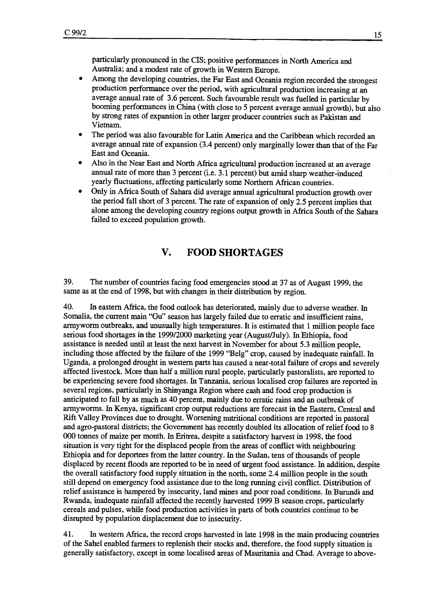particularly pronounced in the CIS; positive performances in North America and Australia; and a modest rate of growth in Western Europe.

- Among the developing countries, the Far East and Oceania region recorded the strongest production performance over the period, with agricultural production increasing at an average annual rate of 3.6 percent. Such favourable result was fuelled in particular by booming performances in China (with close to 5 percent average annual growth), but also by strong rates of expansion in other larger producer countries such as Pakistan and Vietnam.
- The period was also favourable for Latin America and the Caribbean which recorded an average annual rate of expansion (3.4 percent) only marginally lower than that of the Far East and Oceania.
- Also in the Near East and North Africa agricultural production increased at an average annual rate of more than 3 percent (i.e. 3.1 percent) but amid sharp weather-induced yearly fluctuations, affecting particularly some Northem African countries.
- Only in Africa South of Sahara did average annual agricultural production growth over the period fall short of 3 percent. The rate of expansion of only 2.5 percent implies that alone among the developing country regions output growth in Africa South of the Sahara failed to exceed population growth.

# V. FOOD SHORTAGES

39. The number of countries facing food emergencies stood at 37 as of August 1999, the same as at the end of 1998, but with changes in their distribution by region.

40. In eastem Africa, the food outlook has deteriorated, mainly due to adverse weather. In Somalia, the current main "Gu" season has largely failed due to erratic and insufficient rains, armyworm outbreaks, and unusually high temperatures. It is estimated that 1 million people face serious food shortages in the 1999/2000 marketing year (August/July). In Ethiopia, food assistance is needed until at least the next harvest in November for about 5.3 million people, including those affected by the failure of the 1999 "Belg" crop, caused by inadequate rainfall. In Uganda, a prolonged drought in western parts has caused a near-total failure of crops and severely affected livestock. More than half a million rural people, particularly pastoralists, are reported to be experiencing severe food shortages. In Tanzania, serious localised crop failures are reported in several regions, particularly in Shinyanga Region where cash and food crop production is anticipated to fall by as much as 40 percent, mainly due to erratic rains and an outbreak of arrnyworms. In Kenya, significant crop output reductions are forecast in the Eastern, Central and Rift Valley Provinces due to drought. Worsening nutritional conditions are reported in pastoral and agro-pastoral districts; the Government has recently doubled its allocation of relief food to 8 000 tonnes of maize per month. In Eritrea, despite a satisfactory harvest in 1998, the food situation is very tight for the displaced people from the areas of conflict with neighbouring Ethiopia and for deportees from the latter country. In the Sudan, tens of thousands of people displaced by recent floods are reported to be in need of urgent food assistance. In addition, despite the overall satisfactory food supply situation in the north, some 2.4 million people in the south still depend on ernergency food assistance due to the long running civil conflict. Distribution of relief assistance is hampered by insecurity, land mines and poor road conditions. In Burundi and Rwanda, inadequate rainfall affected the recently harvested 1999 B season crops, particularly cereals and pulses, while food production activities in parts of both countries continue to be disrupted by population displacement due to insecurity.

41. In western Africa, the record crops harvested in late 1998 in the main producing countries of the Sahel enabled farmers to replenish their stocks and, therefore, the food supply situation is generally satisfactory, except in some localised areas of Mauritania and Chad. Average to above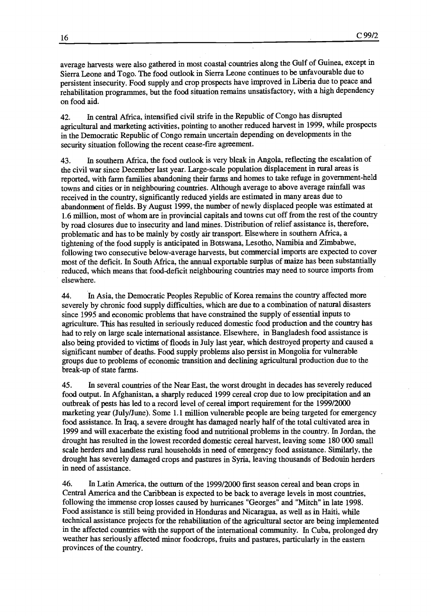average harvests were also gathered in most coastal countries along the Gulf of Guinea, except in Sierra Leone and Togo. The food outlook in Sierra Leone continues to be unfavourable due to persistent insecurity. Food supply and crop prospects have improved in Liberia due to peace and rehabilitation programmes, but the food situation remains unsatisfactory, with a high dependency on food aid.

In central Africa, intensified civil strife in the Republic of Congo has disrupted 42. agricultural and marketing activities, pointing to another reduced harvest in 1999, while prospects in the Democratic Republic of Congo remain uncertain depending on developments in the security situation following the recent cease-fire agreement.

In southern Africa, the food outlook is very bleak in Angola, reflecting the escalation of 43. the civil war since December last year. Large-scale population displacement in rural areas is reported, with farm families abandoning their farms and homes to take refuge in government-held towns and cities or in neighbouring countries. Although average to above average rainfall was received in the country, significantly reduced yields are estimated in many areas due to abandorunent of fields. By August 1999, the number of newly displaced people was estimated at 1 6 million, most of whom are in provincial capitals and towns cut off from the rest of the country by road closures due to insecurity and land mines. Distribution of relief assistance is, therefore, problematic and has to be mainly by costly air transport. Elsewhere in southern Africa, a tightening of the food supply is anticipated in Botswana, Lesotho, Namibia and Zimbabwe, following two consecutive below-average harvests, but commercial imports are expected to cover most of the deficit. In South Africa, the annual exportable surplus of maize has been substantially reduced, which means that food-deficit neighbouring countries may need to source imports from elsewhere.

In Asia, the Democratic Peoples Republic of Korea remains the country affected more 44. severely by chronic food supply difficulties, which are due to a combination of natural disasters since 1995 and economic problems that have constrained the supply of essential inputs to agriculture. This has resulted in seriously reduced domestic food production and the country has had to rely on large scale intemational assistance. Elsewhere, in Bangladesh food assistance is also being provided to victims of floods in July last year, which destroyed property and caused a significant number of deaths. Food supply problems also persist in Mongolia for vulnerable groups due to problems of economic transition and declining agricultural production due to the break-up of state farms.

45. In several countries of the Near East, the worst drought in decades has severely reduced food output. In Afghanistan, a sharply reduced 1999 cereal crop due to low precipitation and an outbreak of pests has led to a record level of cereal import requirement for the 1999/2000 marketing year (July/June). Some 1.1 million vulnerable people are being targeted for emergency food assistance. In Iraq, a severe drought has damaged nearly half of the total cultivated area in 1999 and will exacerbate the existing food and nutritional problems in the country. In Jordan, the drought has resulted in the lowest recorded domestic cereal harvest, leaving some 180 000 small scale herders and landless rural households in need of emergency food assistance. Similarly, the drought has severely damaged crops and pastures in Syria, leaving thousands of Bedouin herders in need of assistance.

46. In Latin America, the outtum of the 1999/2000 first season cereal and bean crops in Central America and the Caribbean is expected to be back to average levels in most countries, following the immense crop losses caused by hurricanes "Georges" and "Mitch" in late 1998. Food assistance is still being provided in Honduras and Nicaragua, as well as in Haiti, while technical assistance projects for the rehabilitation of the agricultural sector are being implemented in the affected countries with the support of the international community. In Cuba, prolonged dry weather has seriously affected minor foodcrops, fruits and pastures, particularly in the eastern provinces of the country.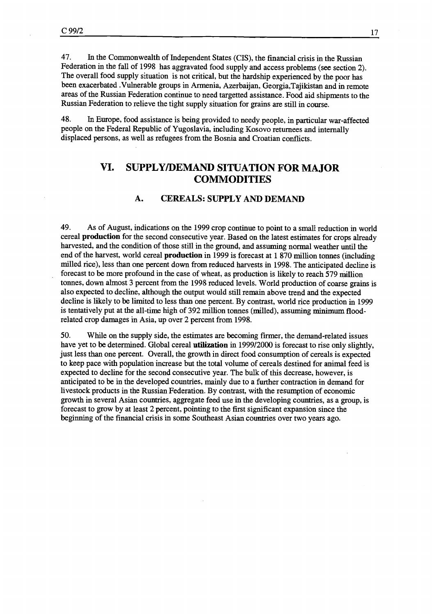47. In the Commonwealth of Independent States (CIS), the financial crisis in the Russian Federation in the fall of 1998 has aggravated food supply and access problems (see section 2). The overall food supply situation is not critical, but the hardship experienced by the poor has been exacerbated .Vulnerable groups in Armenia, Azerbaijan, Georgia,Tajikistan and in remote areas of the Russian Federation continue to need targetted assistance. Food aid shipments to the Russian Federation to relieve the tight supply situation for grains are still in course.

48. In Europe, food assistance is beimg provided to needy people, in particular war-affected people on the Federal Republic of Yugoslavia, 'including Kosovo retumees and internally displaced persons, as well as refugees from the Bosnia and Croatian conflicts.

# VI. SUPPLY/DEMAND SITUATION FOR MAJOR COMMODITIES

## A. CEREALS: SUPPLY AND DEMAND

49. As of August, indications on the 1999 crop continue to point to a small reduction in world cereal production for the second consecutive year. Based on the latest estimates for crops already harvested, and the condition of those still in the ground, and assuming normal weather until the end of the harvest, world cereal production in 1999 is forecast at 1 870 million tonnes (including milled rice), less than one percent down from reduced harvests in 1998. The anticipated decline is forecast to be more profound in the case of wheat, as production is likely to reach 579 million tonnes, down alinost 3 percent from the 1998 reduced levels. World production of coarse grains is also expected to decline, although the output would still remain above trend and the expected decline is likely to be limited to less than one percent. By contrast, world rice production in 1999 is tentatively put at the all-time high of 392 million tonnes (milled), assuming minimum floodrelated crop damages in Asia, up over 2 percent from 1998.

50. While on the supply side, the estimates are becoming firmer, the demand-related issues have yet to be determined. Global cereal **utilization** in 1999/2000 is forecast to rise only slightly, just less than one percent. Overall, the growth in direct food consumption of cereals is expected to keep pace with population increase but the total volume of cereals destined for animal feed is expected to decline for the second consecutive year. The bulk of this decrease, however, is anticipated to be in the developed countries, mainly due to a further contraction in demand for livestock products in the Russian Federation. By contrast, with the resumption of economic growth in several Asian countries, aggregate feed use in the developing countries, as a group, is forecast to grow by at least 2 percent, pointing to the first significant expansion since the beginning of the financial crisis in some Southeast Asian countries over two years ago.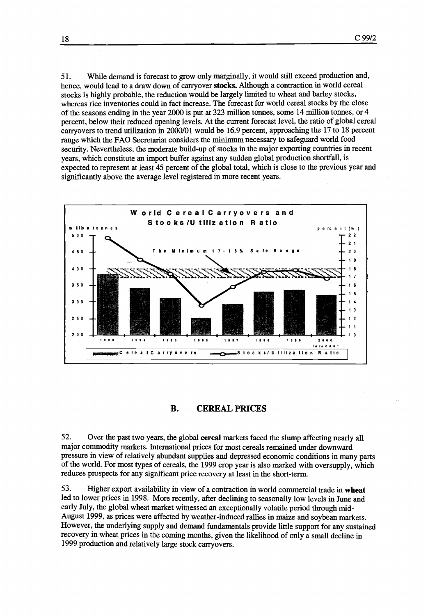51. While demand is forecast to grow only marginally, it would still exceed production and, hence, would lead to a draw down of carryover stocks. Although a contraction in world cereal stocks is highly probable, the reduction would be largely limited to wheat and barley stocks, whereas rice inventories could in fact increase. The forecast for world cereal stocks by the close of the seasons ending in the year 2000 is put at 323 million tonnes, some 14 million tonnes, or 4 percent, below their reduced opening levels. At the current forecast level, the ratio of global cereal carryovers to trend utilization in 2000/01 would be 16.9 percent, approaching the 17 to 18 percent range which the FAO Secretariat considers the minimum necessary to safeguard world food security. Nevertheless, the moderate build-up of stocks in the major exporting countries in recent years, which constitute an import buffer against any sudden global production shortfall, is expected to represent at least 45 percent of the global total, which is close to the previous year and significantly above the average level registered in more recent years.



B. CEREAL PRICES

52. Over the past two years, the global cereal markets faced the slump affecting nearly all major commodity markets. International prices for most cereals remained under downward pressure in view of relatively abundant supplies and depressed economic conditions in many parts of the world. For most types of cereals, the 1999 crop year is also marked with oversupply, which reduces prospects for any significant price recovery at least in the short-term.

53. Higher export availability in view of a contraction in world commercial trade in wheat led to lower prices in 1998. More recently, after declining to seasonally low levels in June and early July, the global wheat market witnessed an exceptionally volatile period through mid-August 1999, as prices were affected by weather-induced rallies in maize and soybean markets. However, the underlying supply and demand fundamentals provide little support for any sustained recovery in wheat prices in the coming months, given the likelihood of only a small decline in 1999 production and relatively large stock carryovers.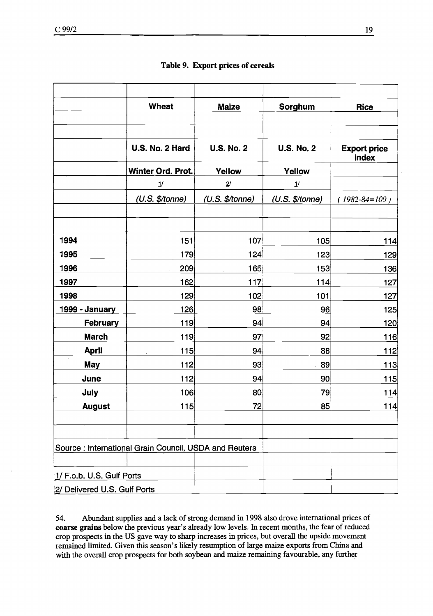|                              | Wheat                                                 | <b>Maize</b>          | Sorghum           | Rice                         |
|------------------------------|-------------------------------------------------------|-----------------------|-------------------|------------------------------|
|                              | U.S. No. 2 Hard                                       | <b>U.S. No. 2</b>     | <b>U.S. No. 2</b> | <b>Export price</b><br>index |
|                              | Winter Ord. Prot.                                     | Yellow                | Yellow            |                              |
|                              | 1/                                                    | $\mathbf{2}^{\prime}$ | $1\!\prime$       |                              |
|                              | (U.S. \$/tonne)                                       | $(U.S.$ \$/tonne)     | (U.S. \$/tonne)   | $1982 - 84 = 100$ )          |
|                              |                                                       |                       |                   |                              |
| 1994                         | 151                                                   | 107                   | 105               | 114                          |
| 1995                         | 179                                                   | 124                   | 123               | 129                          |
| 1996                         | 209                                                   | 165                   | 153               | 136                          |
| 1997                         | 162                                                   | 117                   | 114               | 127                          |
| 1998                         | 129                                                   | 102                   | 101               | 127                          |
| 1999 - January               | 126                                                   | 98                    | 96                | 125                          |
| February                     | 119                                                   | 94                    | 94                | 120                          |
| <b>March</b>                 | 119                                                   | 97                    | 92                | 116                          |
| <b>April</b>                 | 115                                                   | 94                    | 88                | 112                          |
| <b>May</b>                   | 112                                                   | 93                    | 89                | 113                          |
| June                         | 112                                                   | 94                    | 90                | 115                          |
| July                         | 106                                                   | 80                    | 79                | 114                          |
| <b>August</b>                | 115                                                   | 72                    | 85                | 114                          |
|                              |                                                       |                       |                   |                              |
|                              | Source: International Grain Council, USDA and Reuters |                       |                   |                              |
|                              |                                                       |                       |                   |                              |
| 1/ F.o.b. U.S. Gulf Ports    |                                                       |                       |                   |                              |
| 2/ Delivered U.S. Gulf Ports |                                                       |                       |                   |                              |

54. Abundant supplies and a lack of strong denaand in 1998 also drove international prices of coarse grains below the previous year's already low levels. In recent months, the fear of reduced crop prospects in the US gave way to sharp increases in prices, but overall the upside movement remained limited. Given this season's likely resumption of large maize exports from China and with the overall crop prospects for both soybean and maize remaining favourable, any further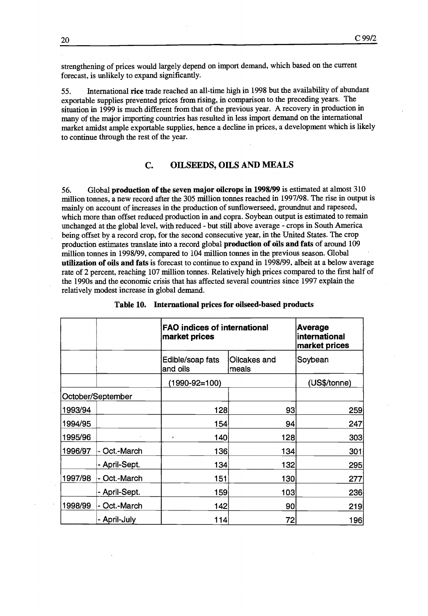strengthening of prices would largely depend on import demand, which based on the current forecast, is unlikely to expand significantly.

International rice trade reached an all-time high in 1998 but the availability of abundant 55. exportable supplies prevented prices from rising, in comparison to the preceding years. The situation in 1999 is much different from that of the previous year. A recovery in production in many of the major importing countries has resulted in less import demand on the international market amidst ample exportable supplies, hence a decline in prices, a development which is likely to continue through the rest of the year.

#### C. OILSEEDS, OILS AND MEALS

56. Global production of the seven major oilcrops in 1998/99 is estimated at almost 310 million tornes, a new record after the 305 million tonnes reached in 1997/98. The rise in output is mainly on account of increases in the production of sunflowerseed, groundnut and rapeseed, which more than offset reduced production in and copra. Soybean output is estimated to remain unchanged at the global level, with reduced - but still above average - crops in South America being offset by a record crop, for the second consecutive year, in the United States. The crop production estimates translate into a record global production of oils and fats of around 109 million tonnes in 1998/99, compared to 104 million tonnes in the previous season. Global utilization of oils and fats is forecast to continue to expand in 1998/99, albeit at a below average rate of 2 percent, reaching 107 million tonnes. Relatively high prices compared to the first half of the 1990s and the economic crisis that has affected several countries since 1997 explain the relatively modest increase in global demand.

|         |                   | <b>FAO</b> indices of international<br>market prices | Average<br>linternational<br>market prices |         |
|---------|-------------------|------------------------------------------------------|--------------------------------------------|---------|
|         |                   | Edible/soap fats<br>and oils                         | Oilcakes and<br>meals                      | Soybean |
|         |                   | (1990-92=100)                                        |                                            |         |
|         | October/September |                                                      |                                            |         |
| 1993/94 |                   | 128                                                  | 93                                         | 259     |
| 1994/95 |                   | 154                                                  | 94                                         | 247     |
| 1995/96 |                   | 140<br>ă.                                            | 128                                        | 303     |
| 1996/97 | Oct.-March        | 136                                                  | 134                                        | 301     |
|         | - April-Sept.     | 134                                                  | 132                                        | 295     |
| 1997/98 | - Oct.-March      | 151                                                  | 130                                        | 277     |
|         | - April-Sept.     | 159                                                  | 103                                        | 236     |
| 1998/99 | Oct.-March        | 142                                                  | 90                                         | 219     |
|         | - April-July      | 114                                                  | 72                                         | 196     |

#### Table 10. International prices for oilseed-based products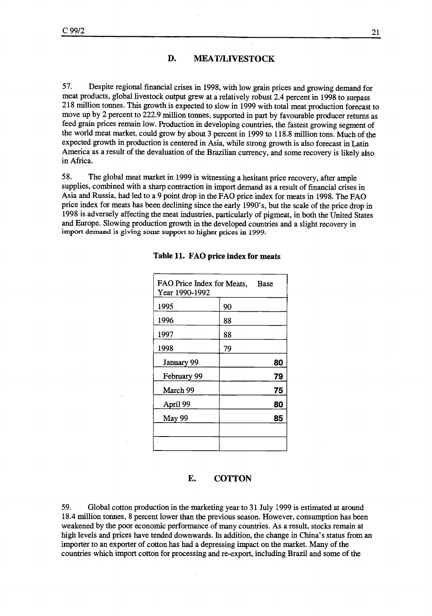#### D. MEAT/LIVESTOCK

57. Despite regional financial crises in 1998, with low grain prices and growing demand for meat products, global livestock output grew at a relatively robust 2.4 percent in 1998 to surpass 218 million tonnes. This growth is expected to slow in 1999 with total meat production forecast to move up by 2 percent to 222 9 million tonnes, supported in part by favourable producer returns as feed grain prices remain low. Production in developing countries, the fastest growing segment of the world meat market, could grow by about 3 percent in 1999 to 118.8 million tons. Much of the expected growth in production is centered in Asia, while strong growth is also forecast in Latin America as a result of the devaluation of the Brazilian currency, and some recovery is likely also in Africa.

58. The global meat market in 1999 is witnessing a hesitant price recovery, after ample supplies, combined with a sharp contraction in import demand as a result of financial crises in Asia and Russia, had led to a 9 point drop in the FAO price index for meats in 1998. The FAO price index for meats has been declining since the early 1990's, but the scale of the price drop in 1998 is adversely affecting the meat industries, particularly of pigmeat, in both the United States and Europe. Slowing production growth in the developed countries and a slight recovery in import demand is giving some support to higher prices in 1999.

| FAO Price Index for Meats, Base<br>Year 1990-1992 |    |    |
|---------------------------------------------------|----|----|
| 1995                                              | 90 |    |
| 1996                                              | 88 |    |
| 1997                                              | 88 |    |
| 1998                                              | 79 |    |
| January 99                                        |    | 80 |
| February 99                                       |    | 79 |
| March 99                                          |    | 75 |
| April 99                                          |    | 80 |
| May 99                                            |    | 85 |
|                                                   |    |    |
|                                                   |    |    |

#### Table 11. FAO price index for meats

## E. COTTON

59. Global cotton production in the marketing year to 31 July 1999 is estimated at around 18.4 million tonnes, 8 percent lower than the previous season. However, consumption has been weakened by the poor economic performance of many countries. As a result, stocks remain at high levels and prices have tended downwards. In addition, the change in China's status from an importer to an exporter of cotton has had a depressing impact on the market. Many of the countries which import cotton for processing and re-export, including Brazil and some of the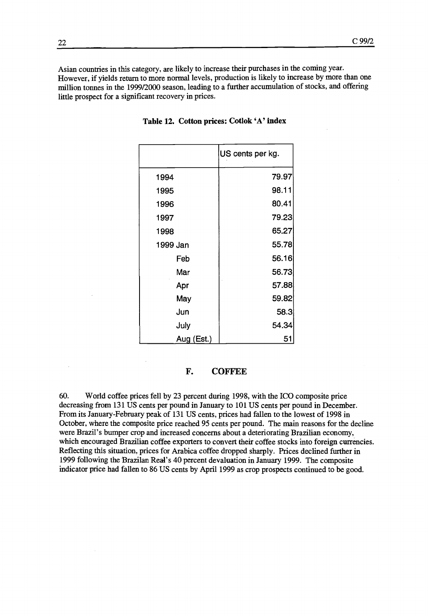Asian countries in this category, are likely to increase their purchases in the coming year. However, if yields retum to more normal levels, production is likely to increase by more than one million tonnes in the 1999/2000 season, leading to a further accumulation of stocks, and offering little prospect for a significant recovery in prices.

|            | US cents per kg. |
|------------|------------------|
| 1994       | 79.97            |
| 1995       | 98.11            |
| 1996       | 80.41            |
| 1997       | 79.23            |
| 1998       | 65.27            |
| 1999 Jan   | 55.78            |
| Feb        | 56.16            |
| Mar        | 56.73            |
| Apr        | 57.88            |
| May        | 59.82            |
| Jun        | 58.3             |
| July       | 54.34            |
| Aug (Est.) | 51               |

#### Table 12. Cotton prices: Cotlok 'A' index

#### F. COFFEE

60. World coffee prices fell by 23 percent during 1998, with the ICO composite price decreasing from 131 US cents per pound in January to 101 US cents per pound in December. From its January-February peak of 131 US cents, prices had fallen to the lowest of 1998 in October, where the composite price reached 95 cents per pound. The main reasons for the decline were Brazil's bumper crop and increased concerns about a deteriorating Brazilian economy, which encouraged Brazilian coffee exporters to convert their coffee stocks into foreign currencies. Reflecting this situation, prices for Arabica coffee dropped sharply. Prices declined further in 1999 following the Brazilan Real's 40 percent devaluation in January 1999. The composite indicator price had fallen to 86 US cents by April 1999 as crop prospects continued to be good.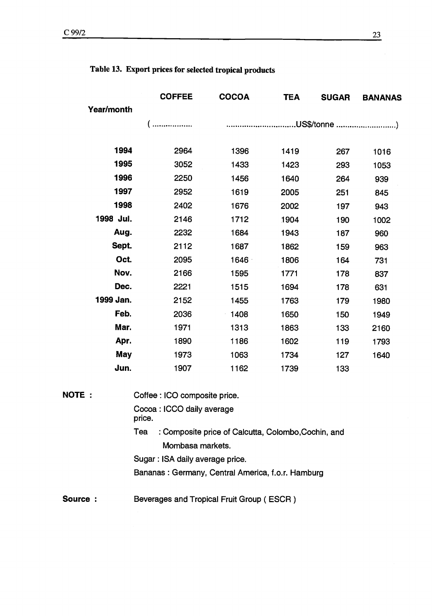| <b>COFFEE</b> | <b>COCOA</b> | <b>TEA</b> | <b>SUGAR</b> | <b>BANANAS</b> |
|---------------|--------------|------------|--------------|----------------|
|               |              |            |              |                |
| .             |              |            |              |                |
|               |              |            |              |                |
| 2964          | 1396         | 1419       | 267          | 1016           |
| 3052          | 1433         | 1423       | 293          | 1053           |
| 2250          | 1456         | 1640       | 264          | 939            |
| 2952          | 1619         | 2005       | 251          | 845            |
| 2402          | 1676         | 2002       | 197          | 943            |
| 2146          | 1712         | 1904       | 190          | 1002           |
| 2232          | 1684         | 1943       | 187          | 960            |
| 2112          | 1687         | 1862       | 159          | 963            |
| 2095          | 1646         | 1806       | 164          | 731            |
| 2166          | 1595         | 1771       | 178          | 837            |
| 2221          | 1515         | 1694       | 178          | 631            |
| 2152          | 1455         | 1763       | 179          | 1980           |
| 2036          | 1408         | 1650       | 150          | 1949           |
| 1971          | 1313         | 1863       | 133          | 2160           |
| 1890          | 1186         | 1602       | 119          | 1793           |
| 1973          | 1063         | 1734       | 127          | 1640           |
| 1907          | 1162         | 1739       | 133          |                |
|               |              |            |              |                |

# Table 13. Export prices for selected tropical products

| <b>NOTE :</b> | Coffee : ICO composite price.                              |
|---------------|------------------------------------------------------------|
|               | Cocoa : ICCO daily average<br>price.                       |
|               | : Composite price of Calcutta, Colombo, Cochin, and<br>Tea |
|               | Mombasa markets.                                           |
|               | Sugar: ISA daily average price.                            |
|               | Bananas: Germany, Central America, f.o.r. Hamburg          |
|               |                                                            |
| Source:       | Beverages and Tropical Fruit Group (ESCR)                  |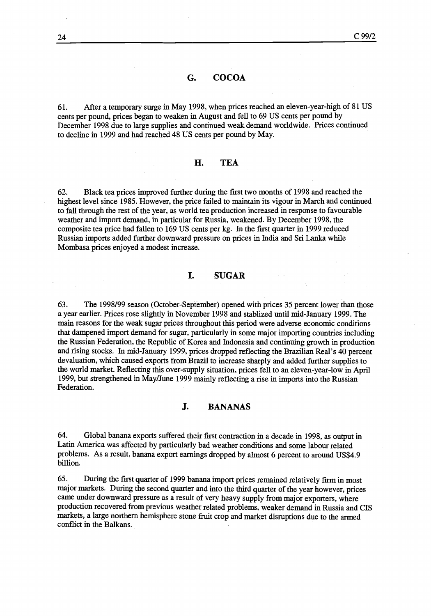#### G. COCOA

61. After a temporary surge in May 1998, when prices reached an eleven-year-high of 81 US cents per pound, prices began to weaken in August and fell to 69 US cents per pound by December 1998 due to large supplies and continued weak demand worldwide. Prices continued to decline in 1999 and had reached 48 US cents per pound by May.

#### H. TEA

62. Black tea prices improved further during the first two months of 1998 and reached the highest level since 1985. However, the price failed to maintain its vigour in March and continued to fall through the rest of the year, as world tea production increased in response to favourable weather and import demand, in particular for Russia, weakened. By December 1998, the composite tea price had fallen to 169 US cents per kg. In the first quarter in 1999 reduced Russian imports added further downward pressure on prices in India and Sri Lanka while Mombasa prices enjoyed a modest increase.

#### I. SUGAR

The 1998/99 season (October-September) opened with prices 35 percent lower than those 63. a year earlier. Prices rose slightly in November 1998 and stablized until mid-January 1999. The main reasons for the weak sugar prices throughout this period were adverse economic conditions that dampened import demand for sugar, particularly in some major importing countries including the Russian Federation, the Republic of Korea and Indonesia and continuing growth in production and rising stocks. In mid-January 1999, prices dropped reflecting the Brazilian Real's 40 percent devaluation, which caused exports from Brazil to increase sharply and added further supplies to the world market. Reflecting this over-supply situation, prices fell to an eleven-year-low in April 1999, but strengthened in May/June 1999 mainly reflecting a rise in imports into the Russian Federation.

#### J. BANANAS

64. Global banana exports suffered their first contraction in a decade in 1998, as output in Latin America was affected by particularly bad weather conditions and some labour related problems. As a result, banana export earnings dropped by almost 6 percent to around US\$4.9 billion.

During the first quarter of 1999 banana import prices remained relatively firm in most 65. major markets. During the second quarter and into the third quarter of the year however, prices came under downward pressure as a result of very heavy supply from major exporters, where production recovered from previous weather related problems, weaker demand in Russia and CIS markets, a large northern hemisphere stone fruit crop and market disruptions due to the armed conflict in the Balkans.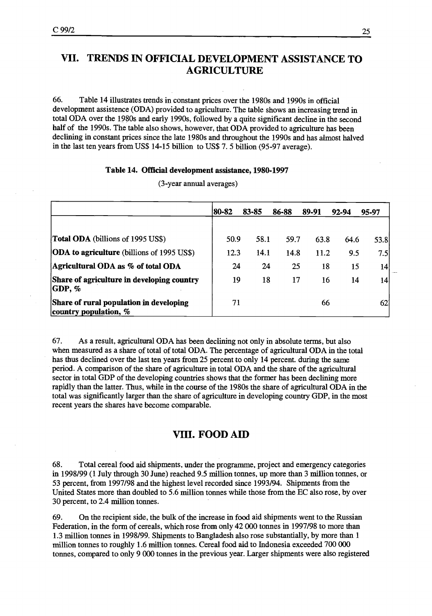# VIL TRENDS IN OFFICIAL DEVELOPMENT ASSISTANCE TO AGRICULTURE

66. Table 14 illustrates trends in constant prices over the 1980s and 1990s in official development assistence (ODA) provided to agriculture. The table shows an increasing trend in total ODA over the 1980s and early 1990s, followed by a quite significant decline in the second half of the 1990s. The table also shows, however, that ODA provided to agriculture has been declining in constant prices since the late 1980s and throughout the 1990s and has almost halved in the last ten years from US\$ 14-15 billion to US\$ 7. 5 billion (95-97 average).

#### Table 14. Official development assistance, 1980-1997

|                                                                    | 80-82 | 83-85 | 86-88 | 89-91 | 92-94 | 95-97 |
|--------------------------------------------------------------------|-------|-------|-------|-------|-------|-------|
| <b>Total ODA</b> (billions of 1995 US\$)                           | 50.9  | 58.1  | 59.7  | 63.8  | 64.6  | 53.8  |
| <b>ODA</b> to agriculture (billions of 1995 US\$)                  | 12.3  | 14.1  | 14.8  | 11.2  | 9.5   | 7.5   |
| Agricultural ODA as % of total ODA                                 | 24    | 24    | 25    | 18    | 15    | 14    |
| Share of agriculture in developing country<br>$ GDP, \%$           | 19    | 18    | 17    | 16    | 14    | 14    |
| Share of rural population in developing<br>country population, $%$ | 71    |       |       | 66    |       | 62    |

(3-year annual averages)

67. As a result, agricultural ODA has been declining not only in absolute terms, but also when measured as a share of total of total ODA. The percentage of agricultural ODA in the total has thus declined over the last ten years from 25 percent to only 14 percent. during the same period. A comparison of the share of agriculture in total ODA and the share of the agricultural sector in total GDP of the developing countries shows that the former has been declining more rapidly than the latter. Thus, while in the course of the 1980s the share of agricultural ODA in the total was significantly larger than the share of agriculture in developing country GDP, in the most recent years the shares have become comparable.

## VIII. FOOD AID

68. Total cereal food aid shipments, under the programme, project and emergency categories in 1998/99 (1 July through 30 June) reached 9.5 million tonnes, up more than 3 million tonnes, or 53 percent, from 1997/98 and the highest level recorded since 1993/94. Shipments from the United States more than doubled to 5.6 million tonnes while those from the EC also rose, by over 30 percent, to 2.4 million tonnes.

69. On the recipient side, the bulk of the increase in food aid shipments went to the Russian Federation, in the form of cereals, which rose from only 42 000 tonnes in 1997/98 to more than 1.3 million tonnes in 1998/99. Shipments to Bangladesh also rose substantially, by more than 1 million tonnes to roughly 1 6 million tonnes. Cereal food aid to Indonesia exceeded 700 000 tonnes, compared to only 9 000 tonnes in the previous year. Larger shipments were also registered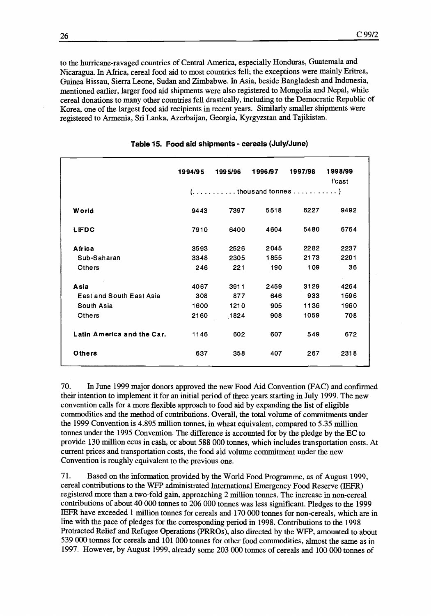to the hurricane-ravaged countries of Central America, especially Honduras, Guatemala and Nicaragua. In Africa, cereal food aid to most countries fell; the exceptions were mainly Eritrea, Guinea Bissau, Sierra Leone, Sudan and Zimbabwe. In Asia, beside Bangladesh and Indonesia, mentioned earlier, larger food aid shipments were also registered to Mongolia and Nepal, while cereal donations to many other countries fell drastically, including to the Democratic Republic of Korea, one of the largest food aid recipients in recent years. Similarly smaller shipments were registered to Armenia, Sri Lanka, Azerbaijan, Georgia, Kyrgyzstan and Tajikistan.

|                                 | 1994/95 | 1995/96 | 1996/97 | 1997/98                                                                       | 1998/99<br>f'cast |
|---------------------------------|---------|---------|---------|-------------------------------------------------------------------------------|-------------------|
|                                 |         |         |         | $( \ldots, \ldots, \ldots, \ldots)$ thousand tonnes $\ldots, \ldots, \ldots)$ |                   |
| <b>World</b>                    | 9443    | 7397    | 5518    | 6227                                                                          | 9492              |
| <b>LIFDC</b>                    | 7910    | 6400    | 4604    | 5480                                                                          | 6764              |
| Africa                          | 3593    | 2526    | 2045    | 2282                                                                          | 2237              |
| Sub-Saharan                     | 3348    | 2305    | 1855    | 2173                                                                          | 2201              |
| Others                          | 246     | 221     | 190     | 109                                                                           | 36                |
| Asia                            | 4067    | 3911    | 2459    | 3129                                                                          | 4264              |
| <b>East and South East Asia</b> | 308     | 877     | 646     | 933                                                                           | 1596              |
| South Asia                      | 1600    | 1210    | 905     | 1136                                                                          | 1960              |
| Others                          | 2160    | 1824    | 908     | 1059                                                                          | 708               |
| Latin America and the Car.      | 1146    | 602     | 607     | 549                                                                           | 672               |
| Others                          | 637     | 358     | 407     | 267                                                                           | 2318              |

Table 15. Food aid shipments - cereals (July/June)

70. In June 1999 major donors approved the new Food Aid Convention (FAC) and confirmed their intention to implement it for an initial period of three years starting in July 1999. The new convention calls for a more flexible approach to food aid by expanding the list of eligible commodities and the method of contributions. Overall, the total volume of commitments under the 1999 Convention is 4.895 million tonnes, in wheat equivalent, compared to 5.35 million tonnes under the 1995 Convention. The difference is accounted for by the pledge by the EC to provide 130 million ecus in cash, or about 588 000 tonnes, which includes transportation costs. At current prices and transportation costs, the food aid volume commitment under the new Convention is roughly equivalent to the previous one.

71. Based on the information provided by the World Food Programme, as of August 1999, cereal contributions to the WFP administrated International Emergency Food Reserve (IEFR) registered more than a two-fold gain, approaching 2 million tonnes. The increase in non-cereal contributions of about 40 000 tonnes to 206 000 tonnes was less significant. Pledges to the 1999 IEFR have exceeded 1 million tonnes for cereals and 170 000 tonnes for non-cereals, which are in line with the pace of pledges for the corresponding period in 1998. Contributions to the 1998 Protracted Relief and Refugee Operations (PRROs), also directed by the WFP, amounted to about 539 000 tonnes for cereals and 101 000 tonnes for other food commodities, almost the same as in 1997. However, by August 1999, already some 203 000 tonnes of cereals and 100 000 tonnes of